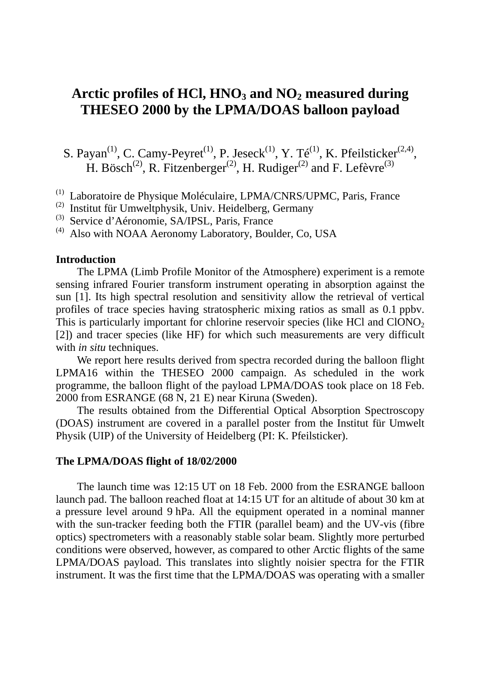# Arctic profiles of HCl, HNO<sub>3</sub> and NO<sub>2</sub> measured during **THESEO 2000 by the LPMA/DOAS balloon payload**

S. Payan<sup>(1)</sup>, C. Camy-Peyret<sup>(1)</sup>, P. Jeseck<sup>(1)</sup>, Y. Té<sup>(1)</sup>, K. Pfeilsticker<sup>(2,4)</sup>, H. Bösch<sup>(2)</sup>, R. Fitzenberger<sup>(2)</sup>, H. Rudiger<sup>(2)</sup> and F. Lefèvre<sup>(3)</sup>

- (1) Laboratoire de Physique Moléculaire, LPMA/CNRS/UPMC, Paris, France
- (2) Institut für Umweltphysik, Univ. Heidelberg, Germany
- (3) Service d'Aéronomie, SA/IPSL, Paris, France
- $^{(4)}$  Also with NOAA Aeronomy Laboratory, Boulder, Co, USA

#### **Introduction**

The LPMA (Limb Profile Monitor of the Atmosphere) experiment is a remote sensing infrared Fourier transform instrument operating in absorption against the sun [1]. Its high spectral resolution and sensitivity allow the retrieval of vertical profiles of trace species having stratospheric mixing ratios as small as 0.1 ppbv. This is particularly important for chlorine reservoir species (like HCl and  $CIONO<sub>2</sub>$ ) [2]) and tracer species (like HF) for which such measurements are very difficult with *in situ* techniques.

We report here results derived from spectra recorded during the balloon flight LPMA16 within the THESEO 2000 campaign. As scheduled in the work programme, the balloon flight of the payload LPMA/DOAS took place on 18 Feb. 2000 from ESRANGE (68 N, 21 E) near Kiruna (Sweden).

The results obtained from the Differential Optical Absorption Spectroscopy (DOAS) instrument are covered in a parallel poster from the Institut für Umwelt Physik (UIP) of the University of Heidelberg (PI: K. Pfeilsticker).

#### **The LPMA/DOAS flight of 18/02/2000**

The launch time was 12:15 UT on 18 Feb. 2000 from the ESRANGE balloon launch pad. The balloon reached float at 14:15 UT for an altitude of about 30 km at a pressure level around 9 hPa. All the equipment operated in a nominal manner with the sun-tracker feeding both the FTIR (parallel beam) and the UV-vis (fibre optics) spectrometers with a reasonably stable solar beam. Slightly more perturbed conditions were observed, however, as compared to other Arctic flights of the same LPMA/DOAS payload. This translates into slightly noisier spectra for the FTIR instrument. It was the first time that the LPMA/DOAS was operating with a smaller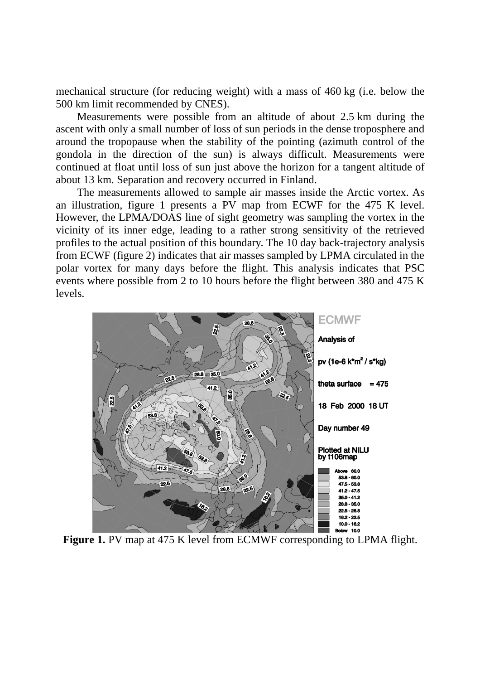mechanical structure (for reducing weight) with a mass of 460 kg (i.e. below the 500 km limit recommended by CNES).

Measurements were possible from an altitude of about 2.5 km during the ascent with only a small number of loss of sun periods in the dense troposphere and around the tropopause when the stability of the pointing (azimuth control of the gondola in the direction of the sun) is always difficult. Measurements were continued at float until loss of sun just above the horizon for a tangent altitude of about 13 km. Separation and recovery occurred in Finland.

The measurements allowed to sample air masses inside the Arctic vortex. As an illustration, figure 1 presents a PV map from ECWF for the 475 K level. However, the LPMA/DOAS line of sight geometry was sampling the vortex in the vicinity of its inner edge, leading to a rather strong sensitivity of the retrieved profiles to the actual position of this boundary. The 10 day back-trajectory analysis from ECWF (figure 2) indicates that air masses sampled by LPMA circulated in the polar vortex for many days before the flight. This analysis indicates that PSC events where possible from 2 to 10 hours before the flight between 380 and 475 K levels.



Figure 1. PV map at 475 K level from ECMWF corresponding to LPMA flight.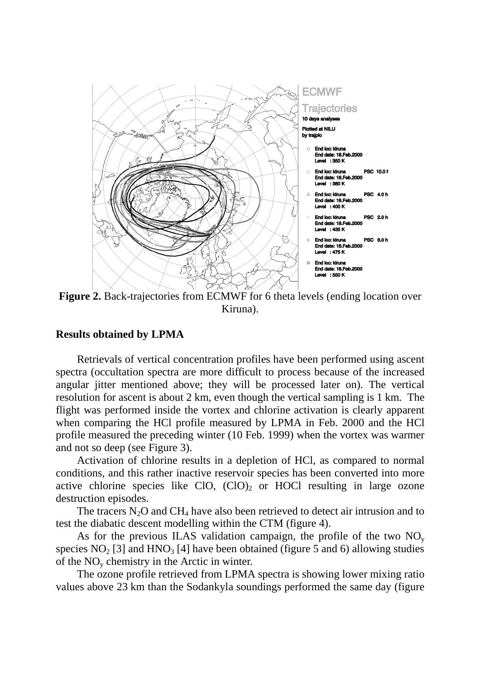

**Figure 2.** Back-trajectories from ECMWF for 6 theta levels (ending location over Kiruna).

#### **Results obtained by LPMA**

Retrievals of vertical concentration profiles have been performed using ascent spectra (occultation spectra are more difficult to process because of the increased angular jitter mentioned above; they will be processed later on). The vertical resolution for ascent is about 2 km, even though the vertical sampling is 1 km. The flight was performed inside the vortex and chlorine activation is clearly apparent when comparing the HCl profile measured by LPMA in Feb. 2000 and the HCl profile measured the preceding winter (10 Feb. 1999) when the vortex was warmer and not so deep (see Figure 3).

Activation of chlorine results in a depletion of HCl, as compared to normal conditions, and this rather inactive reservoir species has been converted into more active chlorine species like ClO,  $(CIO)_2$  or HOCl resulting in large ozone destruction episodes.

The tracers  $N_2O$  and  $CH_4$  have also been retrieved to detect air intrusion and to test the diabatic descent modelling within the CTM (figure 4).

As for the previous ILAS validation campaign, the profile of the two  $NO<sub>y</sub>$ species  $NO<sub>2</sub>$  [3] and  $HNO<sub>3</sub>$  [4] have been obtained (figure 5 and 6) allowing studies of the  $NO<sub>v</sub>$  chemistry in the Arctic in winter.

The ozone profile retrieved from LPMA spectra is showing lower mixing ratio values above 23 km than the Sodankyla soundings performed the same day (figure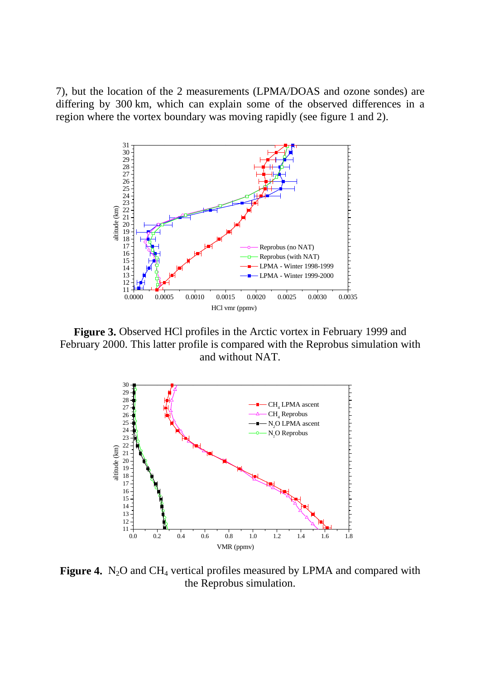7), but the location of the 2 measurements (LPMA/DOAS and ozone sondes) are differing by 300 km, which can explain some of the observed differences in a region where the vortex boundary was moving rapidly (see figure 1 and 2).



**Figure 3.** Observed HCl profiles in the Arctic vortex in February 1999 and February 2000. This latter profile is compared with the Reprobus simulation with and without NAT.



**Figure 4.** N<sub>2</sub>O and CH<sub>4</sub> vertical profiles measured by LPMA and compared with the Reprobus simulation.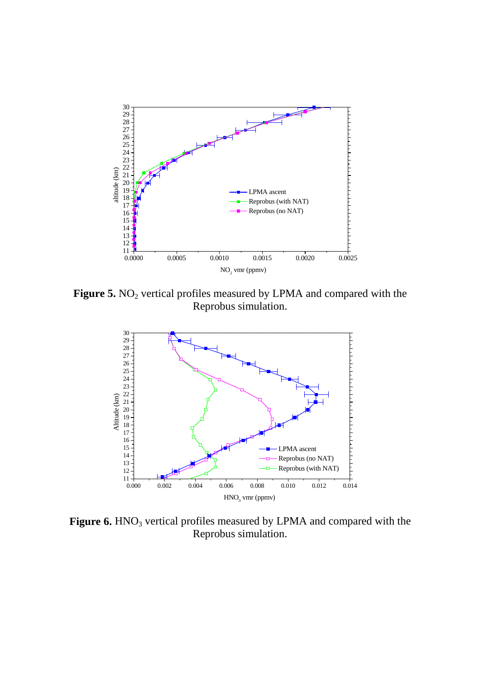

Figure 5. NO<sub>2</sub> vertical profiles measured by LPMA and compared with the Reprobus simulation.



Figure 6. HNO<sub>3</sub> vertical profiles measured by LPMA and compared with the Reprobus simulation.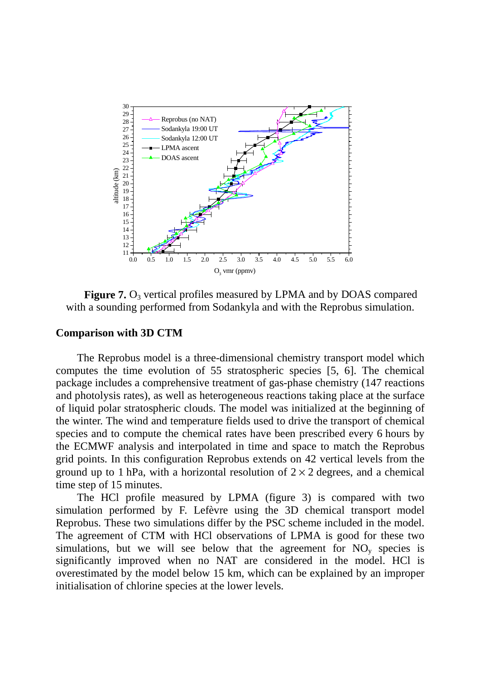

**Figure 7.** O<sub>3</sub> vertical profiles measured by LPMA and by DOAS compared with a sounding performed from Sodankyla and with the Reprobus simulation.

#### **Comparison with 3D CTM**

The Reprobus model is a three-dimensional chemistry transport model which computes the time evolution of 55 stratospheric species [5, 6]. The chemical package includes a comprehensive treatment of gas-phase chemistry (147 reactions and photolysis rates), as well as heterogeneous reactions taking place at the surface of liquid polar stratospheric clouds. The model was initialized at the beginning of the winter. The wind and temperature fields used to drive the transport of chemical species and to compute the chemical rates have been prescribed every 6 hours by the ECMWF analysis and interpolated in time and space to match the Reprobus grid points. In this configuration Reprobus extends on 42 vertical levels from the ground up to 1 hPa, with a horizontal resolution of  $2 \times 2$  degrees, and a chemical time step of 15 minutes.

The HCl profile measured by LPMA (figure 3) is compared with two simulation performed by F. Lefèvre using the 3D chemical transport model Reprobus. These two simulations differ by the PSC scheme included in the model. The agreement of CTM with HCl observations of LPMA is good for these two simulations, but we will see below that the agreement for  $NO<sub>v</sub>$  species is significantly improved when no NAT are considered in the model. HCl is overestimated by the model below 15 km, which can be explained by an improper initialisation of chlorine species at the lower levels.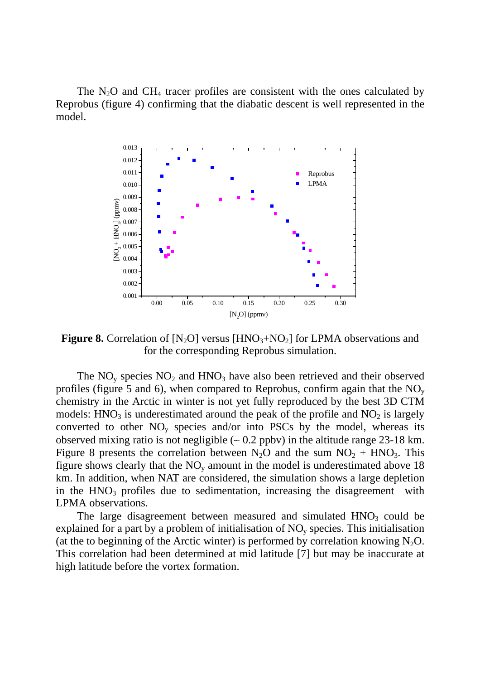The  $N_2O$  and CH<sub>4</sub> tracer profiles are consistent with the ones calculated by Reprobus (figure 4) confirming that the diabatic descent is well represented in the model.



**Figure 8.** Correlation of  $[N_2O]$  versus  $[HNO_3 + NO_2]$  for LPMA observations and for the corresponding Reprobus simulation.

The  $NO<sub>y</sub>$  species  $NO<sub>2</sub>$  and  $HNO<sub>3</sub>$  have also been retrieved and their observed profiles (figure 5 and 6), when compared to Reprobus, confirm again that the  $NO<sub>y</sub>$ chemistry in the Arctic in winter is not yet fully reproduced by the best 3D CTM models:  $HNO<sub>3</sub>$  is underestimated around the peak of the profile and  $NO<sub>2</sub>$  is largely converted to other  $NO<sub>v</sub>$  species and/or into PSCs by the model, whereas its observed mixing ratio is not negligible (∼ 0.2 ppbv) in the altitude range 23-18 km. Figure 8 presents the correlation between  $N_2O$  and the sum  $NO_2 + HNO_3$ . This figure shows clearly that the  $NO<sub>v</sub>$  amount in the model is underestimated above 18 km. In addition, when NAT are considered, the simulation shows a large depletion in the  $HNO<sub>3</sub>$  profiles due to sedimentation, increasing the disagreement with LPMA observations.

The large disagreement between measured and simulated  $HNO<sub>3</sub>$  could be explained for a part by a problem of initialisation of  $NO<sub>v</sub>$  species. This initialisation (at the to beginning of the Arctic winter) is performed by correlation knowing  $N_2O$ . This correlation had been determined at mid latitude [7] but may be inaccurate at high latitude before the vortex formation.